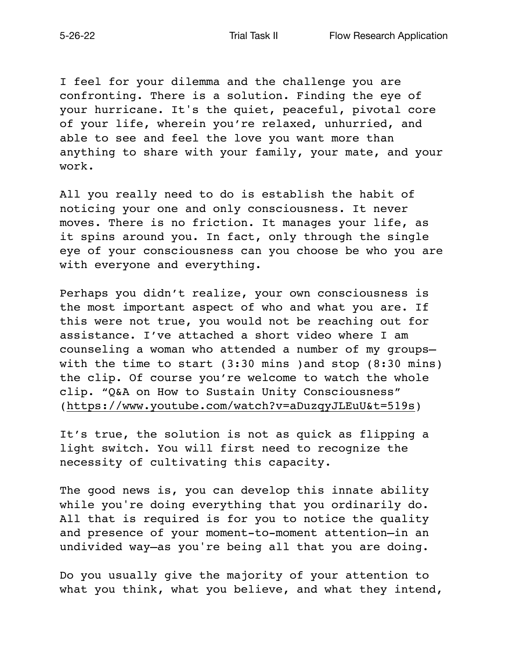I feel for your dilemma and the challenge you are confronting. There is a solution. Finding the eye of your hurricane. It's the quiet, peaceful, pivotal core of your life, wherein you're relaxed, unhurried, and able to see and feel the love you want more than anything to share with your family, your mate, and your work.

All you really need to do is establish the habit of noticing your one and only consciousness. It never moves. There is no friction. It manages your life, as it spins around you. In fact, only through the single eye of your consciousness can you choose be who you are with everyone and everything.

Perhaps you didn't realize, your own consciousness is the most important aspect of who and what you are. If this were not true, you would not be reaching out for assistance. I've attached a short video where I am counseling a woman who attended a number of my groups with the time to start (3:30 mins )and stop (8:30 mins) the clip. Of course you're welcome to watch the whole clip. "Q&A on How to Sustain Unity Consciousness" [\(https://www.youtube.com/watch?v=aDuzqyJLEuU&t=519s](https://www.youtube.com/watch?v=aDuzqyJLEuU&t=519s))

It's true, the solution is not as quick as flipping a light switch. You will first need to recognize the necessity of cultivating this capacity.

The good news is, you can develop this innate ability while you're doing everything that you ordinarily do. All that is required is for you to notice the quality and presence of your moment-to-moment attention—in an undivided way—as you're being all that you are doing.

Do you usually give the majority of your attention to what you think, what you believe, and what they intend,